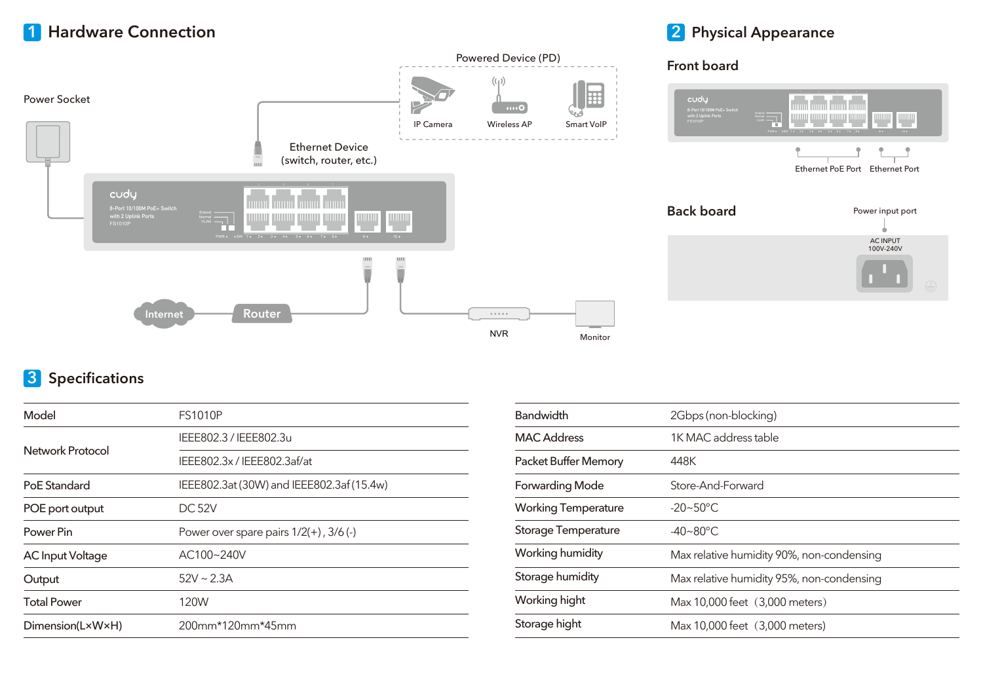## **1 Hardware Connection**

Power Socket





### **2 Physical Appearance**



# **3 Specifications**

| Model                   | <b>FS1010P</b>                             |  |  |
|-------------------------|--------------------------------------------|--|--|
|                         | IEEE802.3 / IEEE802.3u                     |  |  |
| Network Protocol        | IEEE802.3x / IEEE802.3af/at                |  |  |
| PoE Standard            | IEEE802.3at (30W) and IEEE802.3af (15.4w)  |  |  |
| POE port output         | <b>DC 52V</b>                              |  |  |
| Power Pin               | Power over spare pairs $1/2(+)$ , $3/6(-)$ |  |  |
| <b>AC Input Voltage</b> | AC100~240V                                 |  |  |
| Output                  | $52V \sim 2.3A$                            |  |  |
| <b>Total Power</b>      | 120W                                       |  |  |
| Dimension(L×W×H)        | 200mm*120mm*45mm                           |  |  |

| <b>Bandwidth</b>           | 2Gbps (non-blocking)                      |  |
|----------------------------|-------------------------------------------|--|
| <b>MAC Address</b>         | 1K MAC address table                      |  |
| Packet Buffer Memory       | 448K                                      |  |
| <b>Forwarding Mode</b>     | Store-And-Forward                         |  |
| <b>Working Temperature</b> | $-20 - 50^{\circ}$ C                      |  |
| Storage Temperature        | $-40 - 80^{\circ}$ C                      |  |
| Working humidity           | Max relative humidity 90%, non-condensing |  |
| Storage humidity           | Max relative humidity 95%, non-condensing |  |
| Working hight              | Max 10,000 feet (3,000 meters)            |  |
| Storage hight              | Max 10,000 feet (3,000 meters)            |  |